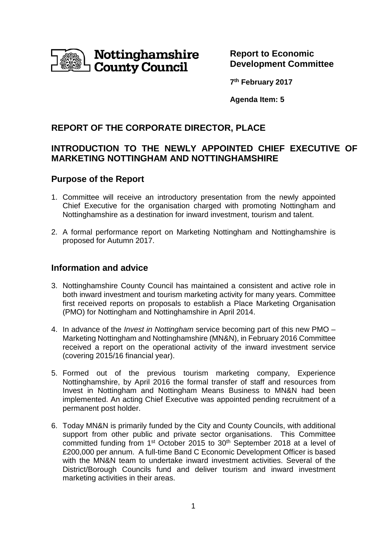

**Report to Economic Development Committee** 

**7 th February 2017**

**Agenda Item: 5**

# **REPORT OF THE CORPORATE DIRECTOR, PLACE**

# **INTRODUCTION TO THE NEWLY APPOINTED CHIEF EXECUTIVE OF MARKETING NOTTINGHAM AND NOTTINGHAMSHIRE**

# **Purpose of the Report**

- 1. Committee will receive an introductory presentation from the newly appointed Chief Executive for the organisation charged with promoting Nottingham and Nottinghamshire as a destination for inward investment, tourism and talent.
- 2. A formal performance report on Marketing Nottingham and Nottinghamshire is proposed for Autumn 2017.

# **Information and advice**

- 3. Nottinghamshire County Council has maintained a consistent and active role in both inward investment and tourism marketing activity for many years. Committee first received reports on proposals to establish a Place Marketing Organisation (PMO) for Nottingham and Nottinghamshire in April 2014.
- 4. In advance of the *Invest in Nottingham* service becoming part of this new PMO Marketing Nottingham and Nottinghamshire (MN&N), in February 2016 Committee received a report on the operational activity of the inward investment service (covering 2015/16 financial year).
- 5. Formed out of the previous tourism marketing company, Experience Nottinghamshire, by April 2016 the formal transfer of staff and resources from Invest in Nottingham and Nottingham Means Business to MN&N had been implemented. An acting Chief Executive was appointed pending recruitment of a permanent post holder.
- 6. Today MN&N is primarily funded by the City and County Councils, with additional support from other public and private sector organisations. This Committee committed funding from 1<sup>st</sup> October 2015 to 30<sup>th</sup> September 2018 at a level of £200,000 per annum. A full-time Band C Economic Development Officer is based with the MN&N team to undertake inward investment activities. Several of the District/Borough Councils fund and deliver tourism and inward investment marketing activities in their areas.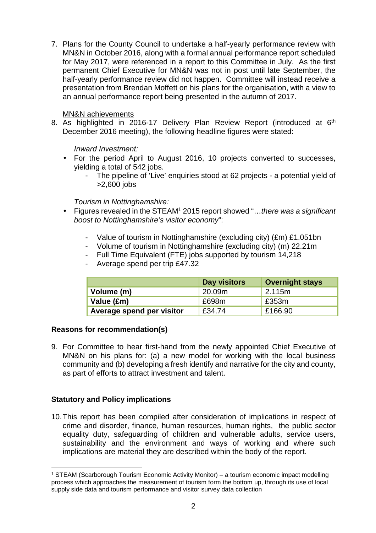7. Plans for the County Council to undertake a half-yearly performance review with MN&N in October 2016, along with a formal annual performance report scheduled for May 2017, were referenced in a report to this Committee in July. As the first permanent Chief Executive for MN&N was not in post until late September, the half-yearly performance review did not happen. Committee will instead receive a presentation from Brendan Moffett on his plans for the organisation, with a view to an annual performance report being presented in the autumn of 2017.

### MN&N achievements

8. As highlighted in 2016-17 Delivery Plan Review Report (introduced at 6<sup>th</sup> December 2016 meeting), the following headline figures were stated:

Inward Investment:

- For the period April to August 2016, 10 projects converted to successes, yielding a total of 542 jobs.
	- The pipeline of 'Live' enquiries stood at 62 projects a potential yield of >2,600 jobs

Tourism in Nottinghamshire:

- Figures revealed in the STEAM<sup>1</sup> 2015 report showed "...there was a significant boost to Nottinghamshire's visitor economy":
	- Value of tourism in Nottinghamshire (excluding city) (£m) £1.051bn
	- Volume of tourism in Nottinghamshire (excluding city) (m) 22.21m
	- Full Time Equivalent (FTE) jobs supported by tourism 14,218
	- Average spend per trip £47.32

|                           | <b>Day visitors</b> | <b>Overnight stays</b> |
|---------------------------|---------------------|------------------------|
| Volume (m)                | 20.09m              | 2.115m                 |
| Value (£m)                | £698m               | £353m                  |
| Average spend per visitor | £34.74              | £166.90                |

## **Reasons for recommendation(s)**

9. For Committee to hear first-hand from the newly appointed Chief Executive of MN&N on his plans for: (a) a new model for working with the local business community and (b) developing a fresh identify and narrative for the city and county, as part of efforts to attract investment and talent.

## **Statutory and Policy implications**

l

10. This report has been compiled after consideration of implications in respect of crime and disorder, finance, human resources, human rights, the public sector equality duty, safeguarding of children and vulnerable adults, service users, sustainability and the environment and ways of working and where such implications are material they are described within the body of the report.

<sup>1</sup> STEAM (Scarborough Tourism Economic Activity Monitor) – a tourism economic impact modelling process which approaches the measurement of tourism form the bottom up, through its use of local supply side data and tourism performance and visitor survey data collection